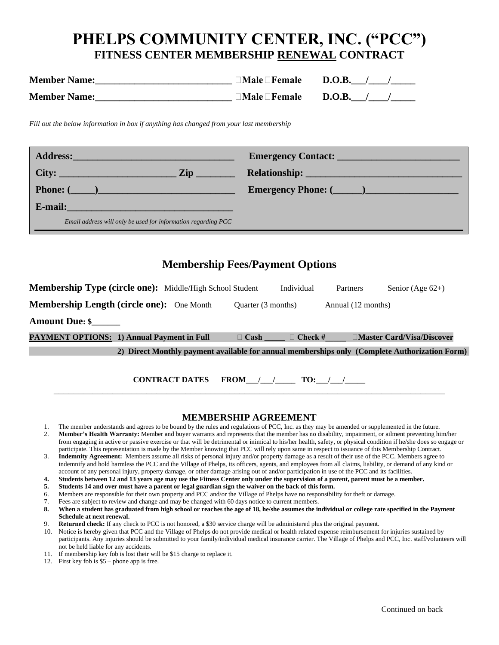# **PHELPS COMMUNITY CENTER, INC. ("PCC") FITNESS CENTER MEMBERSHIP RENEWAL CONTRACT**

| <b>Member Name:</b> | $\square$ Male $\square$ Female | <b>D.O.B.</b> |
|---------------------|---------------------------------|---------------|
| <b>Member Name:</b> | $\Box$ Male $\Box$ Female       | <b>D.O.B.</b> |

*Fill out the below information in box if anything has changed from your last membership*

| Address: Andress: Address: Address: Address: Address: Address: Address: Address: Address: Address: A |                                                                                                                                                                                                                                      |
|------------------------------------------------------------------------------------------------------|--------------------------------------------------------------------------------------------------------------------------------------------------------------------------------------------------------------------------------------|
|                                                                                                      | Relationship: <u>New York: New York: New York: New York: New York: New York: New York: New York: New York: New York: New York: New York: New York: New York: New York: New York: New York: New York: New York: New York: New Yor</u> |
|                                                                                                      | Emergency Phone: (2008)                                                                                                                                                                                                              |
| E-mail:                                                                                              |                                                                                                                                                                                                                                      |
| Email address will only be used for information regarding PCC                                        |                                                                                                                                                                                                                                      |

## **Membership Fees/Payment Options**

| Membership Type (circle one): Middle/High School Student |                       |                    | Individual           | Partners           | Senior (Age $62+$ )                                                                           |
|----------------------------------------------------------|-----------------------|--------------------|----------------------|--------------------|-----------------------------------------------------------------------------------------------|
| <b>Membership Length (circle one):</b> One Month         |                       | Quarter (3 months) |                      | Annual (12 months) |                                                                                               |
| <b>Amount Due: \$</b>                                    |                       |                    |                      |                    |                                                                                               |
| <b>PAYMENT OPTIONS: 1) Annual Payment in Full</b>        |                       | $\Box$ Cash        | $\Box$ Check #       |                    | □Master Card/Visa/Discover                                                                    |
|                                                          |                       |                    |                      |                    | 2) Direct Monthly payment available for annual memberships only (Complete Authorization Form) |
|                                                          | <b>CONTRACT DATES</b> |                    | FROM $/ /$ TO: $/ /$ |                    |                                                                                               |

#### **MEMBERSHIP AGREEMENT**

- 1. The member understands and agrees to be bound by the rules and regulations of PCC, Inc. as they may be amended or supplemented in the future. 2. **Member's Health Warranty:** Member and buyer warrants and represents that the member has no disability, impairment, or ailment preventing him/her from engaging in active or passive exercise or that will be detrimental or inimical to his/her health, safety, or physical condition if he/she does so engage or participate. This representation is made by the Member knowing that PCC will rely upon same in respect to issuance of this Membership Contract.
- 3. **Indemnity Agreement:** Members assume all risks of personal injury and/or property damage as a result of their use of the PCC. Members agree to indemnify and hold harmless the PCC and the Village of Phelps, its officers, agents, and employees from all claims, liability, or demand of any kind or account of any personal injury, property damage, or other damage arising out of and/or participation in use of the PCC and its facilities.
- **4. Students between 12 and 13 years age may use the Fitness Center only under the supervision of a parent, parent must be a member.**
- **5. Students 14 and over must have a parent or legal guardian sign the waiver on the back of this form.**
- 6. Members are responsible for their own property and PCC and/or the Village of Phelps have no responsibility for theft or damage.
- 7. Fees are subject to review and change and may be changed with 60 days notice to current members.
- **8. When a student has graduated from high school or reaches the age of 18, he/she assumes the individual or college rate specified in the Payment Schedule at next renewal.**
- 9. **Returned check:** If any check to PCC is not honored, a \$30 service charge will be administered plus the original payment.
- 10. Notice is hereby given that PCC and the Village of Phelps do not provide medical or health related expense reimbursement for injuries sustained by participants. Any injuries should be submitted to your family/individual medical insurance carrier. The Village of Phelps and PCC, Inc. staff/volunteers will not be held liable for any accidents.
- 11. If membership key fob is lost their will be \$15 charge to replace it.
- 12. First key fob is \$5 phone app is free.